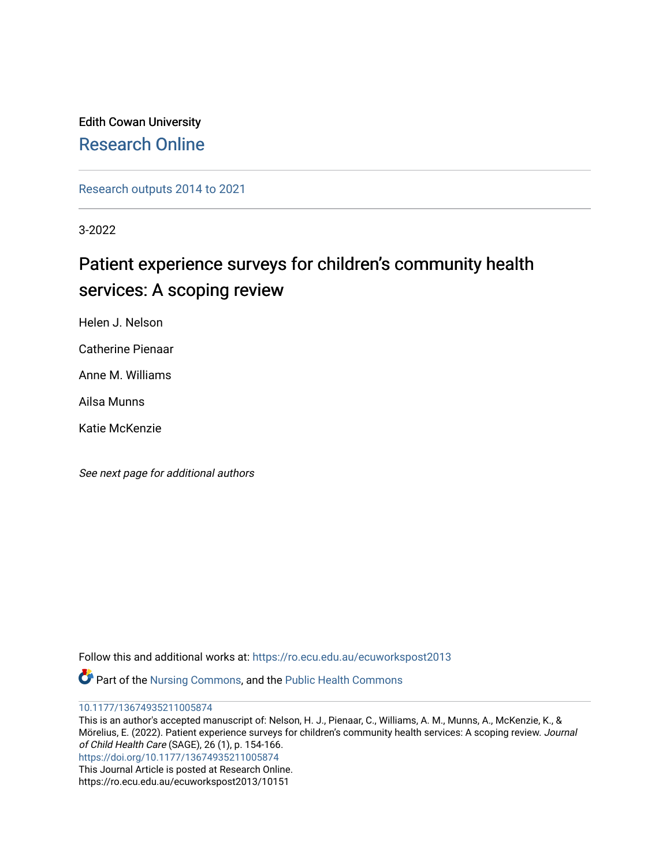# Edith Cowan University [Research Online](https://ro.ecu.edu.au/)

[Research outputs 2014 to 2021](https://ro.ecu.edu.au/ecuworkspost2013) 

3-2022

# Patient experience surveys for children's community health services: A scoping review

Helen J. Nelson

Catherine Pienaar

Anne M. Williams

Ailsa Munns

Katie McKenzie

See next page for additional authors

Follow this and additional works at: [https://ro.ecu.edu.au/ecuworkspost2013](https://ro.ecu.edu.au/ecuworkspost2013?utm_source=ro.ecu.edu.au%2Fecuworkspost2013%2F10151&utm_medium=PDF&utm_campaign=PDFCoverPages) 

Part of the [Nursing Commons,](http://network.bepress.com/hgg/discipline/718?utm_source=ro.ecu.edu.au%2Fecuworkspost2013%2F10151&utm_medium=PDF&utm_campaign=PDFCoverPages) and the [Public Health Commons](http://network.bepress.com/hgg/discipline/738?utm_source=ro.ecu.edu.au%2Fecuworkspost2013%2F10151&utm_medium=PDF&utm_campaign=PDFCoverPages)

[10.1177/13674935211005874](http://dx.doi.org/10.1177/13674935211005874)

This is an author's accepted manuscript of: Nelson, H. J., Pienaar, C., Williams, A. M., Munns, A., McKenzie, K., & Mörelius, E. (2022). Patient experience surveys for children's community health services: A scoping review. Journal of Child Health Care (SAGE), 26 (1), p. 154-166. <https://doi.org/10.1177/13674935211005874> This Journal Article is posted at Research Online.

https://ro.ecu.edu.au/ecuworkspost2013/10151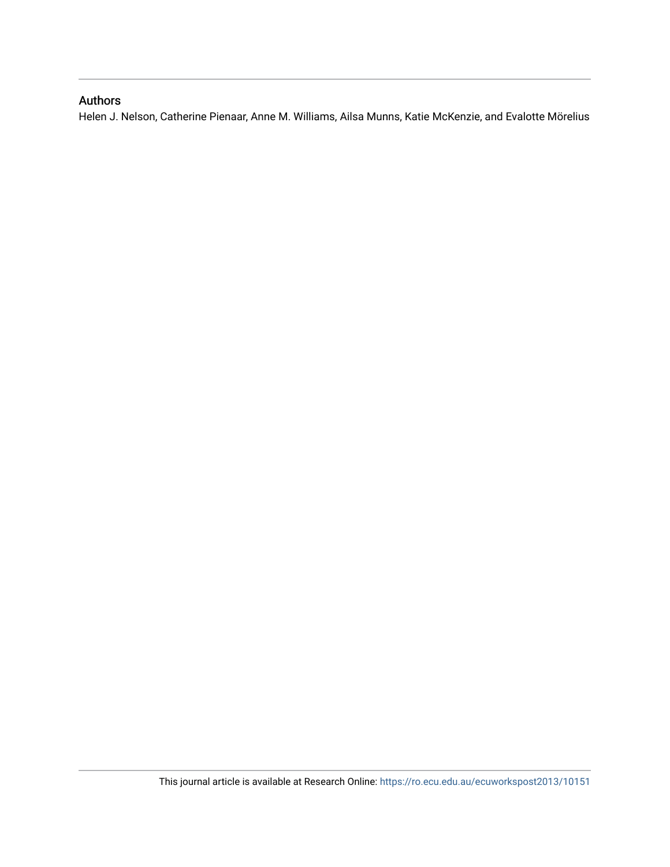# Authors

Helen J. Nelson, Catherine Pienaar, Anne M. Williams, Ailsa Munns, Katie McKenzie, and Evalotte Mörelius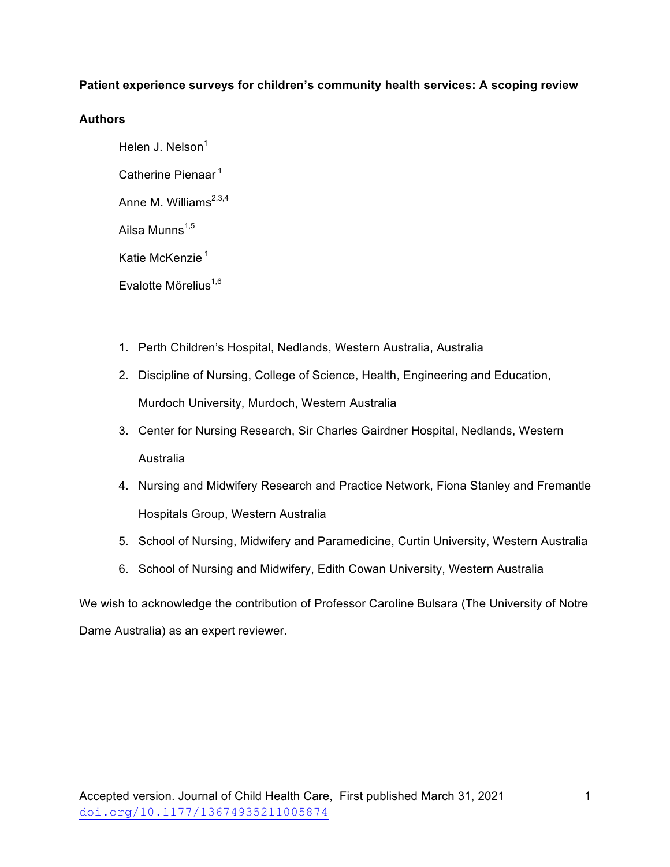# **Patient experience surveys for children's community health services: A scoping review**

# **Authors**

Helen J. Nelson $<sup>1</sup>$ </sup> Catherine Pienaar<sup>1</sup> Anne M. Williams<sup>2,3,4</sup> Ailsa Munns $1,5$ Katie McKenzie<sup>1</sup> Evalotte Mörelius $^{1,6}$ 

- 1. Perth Children's Hospital, Nedlands, Western Australia, Australia
- 2. Discipline of Nursing, College of Science, Health, Engineering and Education, Murdoch University, Murdoch, Western Australia
- 3. Center for Nursing Research, Sir Charles Gairdner Hospital, Nedlands, Western Australia
- 4. Nursing and Midwifery Research and Practice Network, Fiona Stanley and Fremantle Hospitals Group, Western Australia
- 5. School of Nursing, Midwifery and Paramedicine, Curtin University, Western Australia
- 6. School of Nursing and Midwifery, Edith Cowan University, Western Australia

We wish to acknowledge the contribution of Professor Caroline Bulsara (The University of Notre Dame Australia) as an expert reviewer.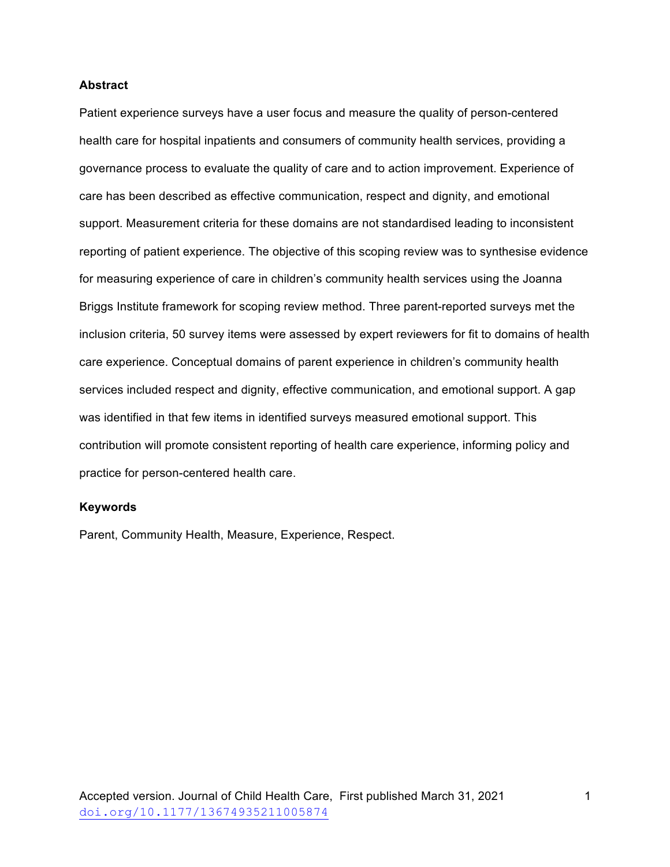# **Abstract**

Patient experience surveys have a user focus and measure the quality of person-centered health care for hospital inpatients and consumers of community health services, providing a governance process to evaluate the quality of care and to action improvement. Experience of care has been described as effective communication, respect and dignity, and emotional support. Measurement criteria for these domains are not standardised leading to inconsistent reporting of patient experience. The objective of this scoping review was to synthesise evidence for measuring experience of care in children's community health services using the Joanna Briggs Institute framework for scoping review method. Three parent-reported surveys met the inclusion criteria, 50 survey items were assessed by expert reviewers for fit to domains of health care experience. Conceptual domains of parent experience in children's community health services included respect and dignity, effective communication, and emotional support. A gap was identified in that few items in identified surveys measured emotional support. This contribution will promote consistent reporting of health care experience, informing policy and practice for person-centered health care.

#### **Keywords**

Parent, Community Health, Measure, Experience, Respect.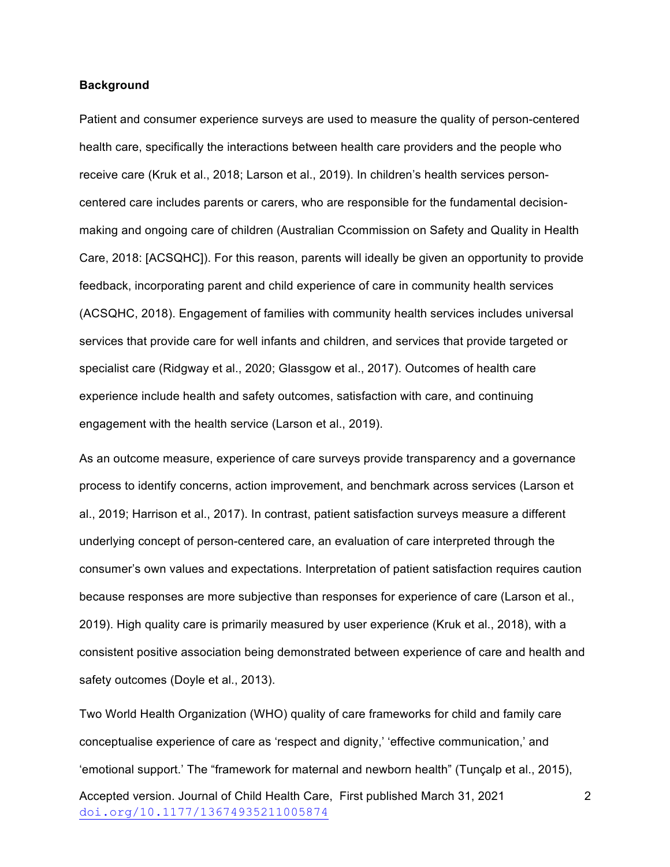### **Background**

Patient and consumer experience surveys are used to measure the quality of person-centered health care, specifically the interactions between health care providers and the people who receive care (Kruk et al., 2018; Larson et al., 2019). In children's health services personcentered care includes parents or carers, who are responsible for the fundamental decisionmaking and ongoing care of children (Australian Ccommission on Safety and Quality in Health Care, 2018: [ACSQHC]). For this reason, parents will ideally be given an opportunity to provide feedback, incorporating parent and child experience of care in community health services (ACSQHC, 2018). Engagement of families with community health services includes universal services that provide care for well infants and children, and services that provide targeted or specialist care (Ridgway et al., 2020; Glassgow et al., 2017). Outcomes of health care experience include health and safety outcomes, satisfaction with care, and continuing engagement with the health service (Larson et al., 2019).

As an outcome measure, experience of care surveys provide transparency and a governance process to identify concerns, action improvement, and benchmark across services (Larson et al., 2019; Harrison et al., 2017). In contrast, patient satisfaction surveys measure a different underlying concept of person-centered care, an evaluation of care interpreted through the consumer's own values and expectations. Interpretation of patient satisfaction requires caution because responses are more subjective than responses for experience of care (Larson et al., 2019). High quality care is primarily measured by user experience (Kruk et al., 2018), with a consistent positive association being demonstrated between experience of care and health and safety outcomes (Doyle et al., 2013).

Accepted version. Journal of Child Health Care, First published March 31, 2021 doi.org/10.1177/13674935211005874 Two World Health Organization (WHO) quality of care frameworks for child and family care conceptualise experience of care as 'respect and dignity,' 'effective communication,' and 'emotional support.' The "framework for maternal and newborn health" (Tunçalp et al., 2015),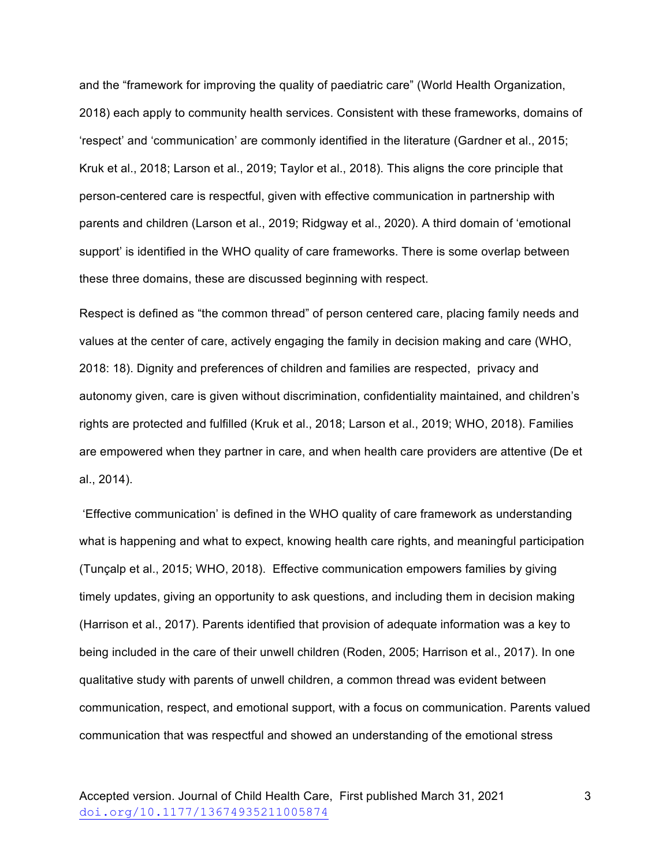and the "framework for improving the quality of paediatric care" (World Health Organization, 2018) each apply to community health services. Consistent with these frameworks, domains of 'respect' and 'communication' are commonly identified in the literature (Gardner et al., 2015; Kruk et al., 2018; Larson et al., 2019; Taylor et al., 2018). This aligns the core principle that person-centered care is respectful, given with effective communication in partnership with parents and children (Larson et al., 2019; Ridgway et al., 2020). A third domain of 'emotional support' is identified in the WHO quality of care frameworks. There is some overlap between these three domains, these are discussed beginning with respect.

Respect is defined as "the common thread" of person centered care, placing family needs and values at the center of care, actively engaging the family in decision making and care (WHO, 2018: 18). Dignity and preferences of children and families are respected, privacy and autonomy given, care is given without discrimination, confidentiality maintained, and children's rights are protected and fulfilled (Kruk et al., 2018; Larson et al., 2019; WHO, 2018). Families are empowered when they partner in care, and when health care providers are attentive (De et al., 2014).

'Effective communication' is defined in the WHO quality of care framework as understanding what is happening and what to expect, knowing health care rights, and meaningful participation (Tunçalp et al., 2015; WHO, 2018). Effective communication empowers families by giving timely updates, giving an opportunity to ask questions, and including them in decision making (Harrison et al., 2017). Parents identified that provision of adequate information was a key to being included in the care of their unwell children (Roden, 2005; Harrison et al., 2017). In one qualitative study with parents of unwell children, a common thread was evident between communication, respect, and emotional support, with a focus on communication. Parents valued communication that was respectful and showed an understanding of the emotional stress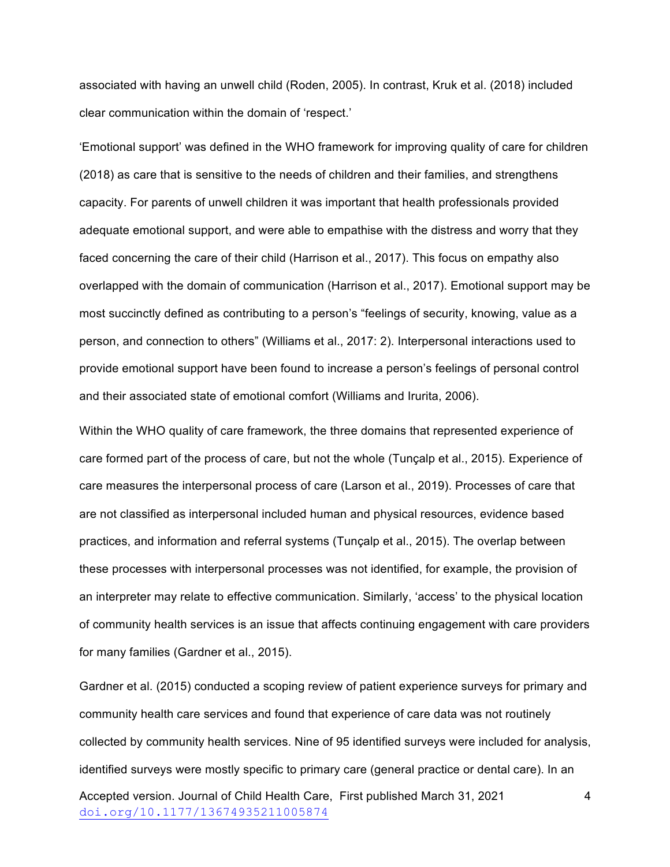associated with having an unwell child (Roden, 2005). In contrast, Kruk et al. (2018) included clear communication within the domain of 'respect.'

'Emotional support' was defined in the WHO framework for improving quality of care for children (2018) as care that is sensitive to the needs of children and their families, and strengthens capacity. For parents of unwell children it was important that health professionals provided adequate emotional support, and were able to empathise with the distress and worry that they faced concerning the care of their child (Harrison et al., 2017). This focus on empathy also overlapped with the domain of communication (Harrison et al., 2017). Emotional support may be most succinctly defined as contributing to a person's "feelings of security, knowing, value as a person, and connection to others" (Williams et al., 2017: 2). Interpersonal interactions used to provide emotional support have been found to increase a person's feelings of personal control and their associated state of emotional comfort (Williams and Irurita, 2006).

Within the WHO quality of care framework, the three domains that represented experience of care formed part of the process of care, but not the whole (Tunçalp et al., 2015). Experience of care measures the interpersonal process of care (Larson et al., 2019). Processes of care that are not classified as interpersonal included human and physical resources, evidence based practices, and information and referral systems (Tunçalp et al., 2015). The overlap between these processes with interpersonal processes was not identified, for example, the provision of an interpreter may relate to effective communication. Similarly, 'access' to the physical location of community health services is an issue that affects continuing engagement with care providers for many families (Gardner et al., 2015).

Accepted version. Journal of Child Health Care, First published March 31, 2021 doi.org/10.1177/13674935211005874 4 Gardner et al. (2015) conducted a scoping review of patient experience surveys for primary and community health care services and found that experience of care data was not routinely collected by community health services. Nine of 95 identified surveys were included for analysis, identified surveys were mostly specific to primary care (general practice or dental care). In an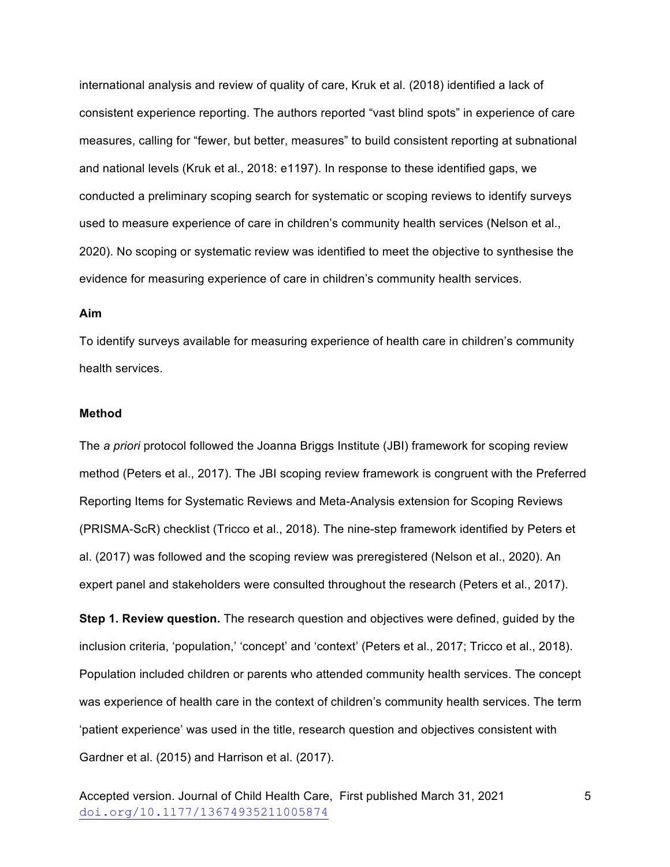international analysis and review of quality of care, Kruk et al. (2018) identified a lack of consistent experience reporting. The authors reported "vast blind spots" in experience of care measures, calling for "fewer, but better, measures" to build consistent reporting at subnational and national levels (Kruk et al., 2018: e1197). In response to these identified gaps, we conducted a preliminary scoping search for systematic or scoping reviews to identify surveys used to measure experience of care in children's community health services (Nelson et al., 2020). No scoping or systematic review was identified to meet the objective to synthesise the evidence for measuring experience of care in children's community health services.

# **Aim**

To identify surveys available for measuring experience of health care in children's community health services.

#### **Method**

The *a priori* protocol followed the Joanna Briggs Institute (JBI) framework for scoping review method (Peters et al., 2017). The JBI scoping review framework is congruent with the Preferred Reporting Items for Systematic Reviews and Meta-Analysis extension for Scoping Reviews (PRISMA-ScR) checklist (Tricco et al., 2018). The nine-step framework identified by Peters et al. (2017) was followed and the scoping review was preregistered (Nelson et al., 2020). An expert panel and stakeholders were consulted throughout the research (Peters et al., 2017).

**Step 1. Review question.** The research question and objectives were defined, guided by the inclusion criteria, 'population,' 'concept' and 'context' (Peters et al., 2017; Tricco et al., 2018). Population included children or parents who attended community health services. The concept was experience of health care in the context of children's community health services. The term 'patient experience' was used in the title, research question and objectives consistent with Gardner et al. (2015) and Harrison et al. (2017).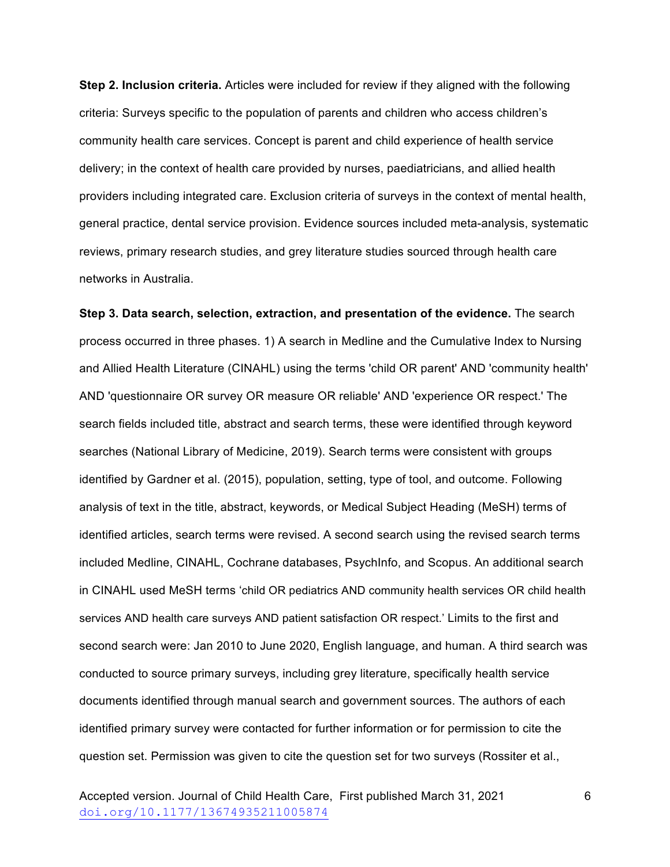**Step 2. Inclusion criteria.** Articles were included for review if they aligned with the following criteria: Surveys specific to the population of parents and children who access children's community health care services. Concept is parent and child experience of health service delivery; in the context of health care provided by nurses, paediatricians, and allied health providers including integrated care. Exclusion criteria of surveys in the context of mental health, general practice, dental service provision. Evidence sources included meta-analysis, systematic reviews, primary research studies, and grey literature studies sourced through health care networks in Australia.

**Step 3. Data search, selection, extraction, and presentation of the evidence.** The search process occurred in three phases. 1) A search in Medline and the Cumulative Index to Nursing and Allied Health Literature (CINAHL) using the terms 'child OR parent' AND 'community health' AND 'questionnaire OR survey OR measure OR reliable' AND 'experience OR respect.' The search fields included title, abstract and search terms, these were identified through keyword searches (National Library of Medicine, 2019). Search terms were consistent with groups identified by Gardner et al. (2015), population, setting, type of tool, and outcome. Following analysis of text in the title, abstract, keywords, or Medical Subject Heading (MeSH) terms of identified articles, search terms were revised. A second search using the revised search terms included Medline, CINAHL, Cochrane databases, PsychInfo, and Scopus. An additional search in CINAHL used MeSH terms 'child OR pediatrics AND community health services OR child health services AND health care surveys AND patient satisfaction OR respect.' Limits to the first and second search were: Jan 2010 to June 2020, English language, and human. A third search was conducted to source primary surveys, including grey literature, specifically health service documents identified through manual search and government sources. The authors of each identified primary survey were contacted for further information or for permission to cite the question set. Permission was given to cite the question set for two surveys (Rossiter et al.,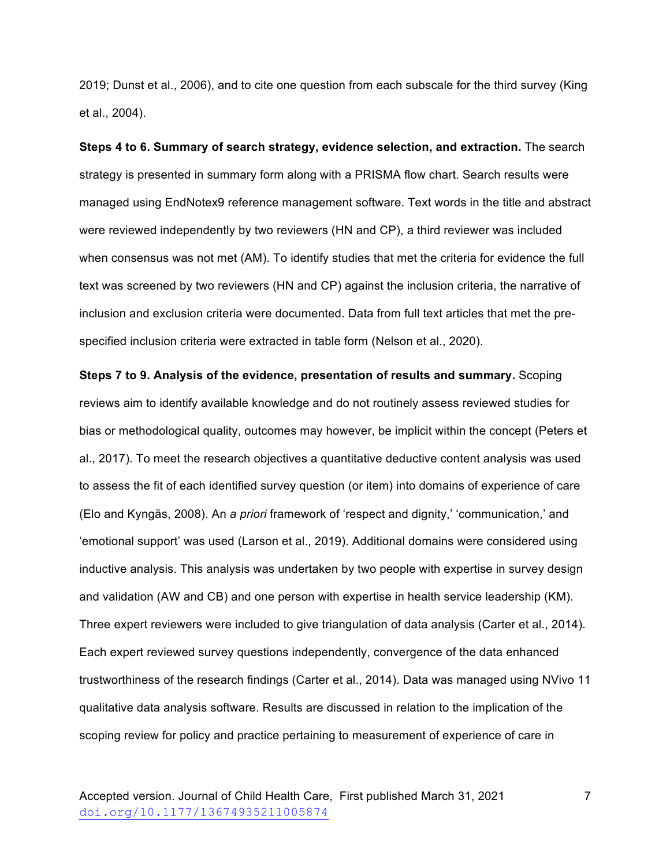2019; Dunst et al., 2006), and to cite one question from each subscale for the third survey (King et al., 2004).

**Steps 4 to 6. Summary of search strategy, evidence selection, and extraction.** The search strategy is presented in summary form along with a PRISMA flow chart. Search results were managed using EndNotex9 reference management software. Text words in the title and abstract were reviewed independently by two reviewers (HN and CP), a third reviewer was included when consensus was not met (AM). To identify studies that met the criteria for evidence the full text was screened by two reviewers (HN and CP) against the inclusion criteria, the narrative of inclusion and exclusion criteria were documented. Data from full text articles that met the prespecified inclusion criteria were extracted in table form (Nelson et al., 2020).

**Steps 7 to 9. Analysis of the evidence, presentation of results and summary.** Scoping reviews aim to identify available knowledge and do not routinely assess reviewed studies for bias or methodological quality, outcomes may however, be implicit within the concept (Peters et al., 2017). To meet the research objectives a quantitative deductive content analysis was used to assess the fit of each identified survey question (or item) into domains of experience of care (Elo and Kyngäs, 2008). An *a priori* framework of 'respect and dignity,' 'communication,' and 'emotional support' was used (Larson et al., 2019). Additional domains were considered using inductive analysis. This analysis was undertaken by two people with expertise in survey design and validation (AW and CB) and one person with expertise in health service leadership (KM). Three expert reviewers were included to give triangulation of data analysis (Carter et al., 2014). Each expert reviewed survey questions independently, convergence of the data enhanced trustworthiness of the research findings (Carter et al., 2014). Data was managed using NVivo 11 qualitative data analysis software. Results are discussed in relation to the implication of the scoping review for policy and practice pertaining to measurement of experience of care in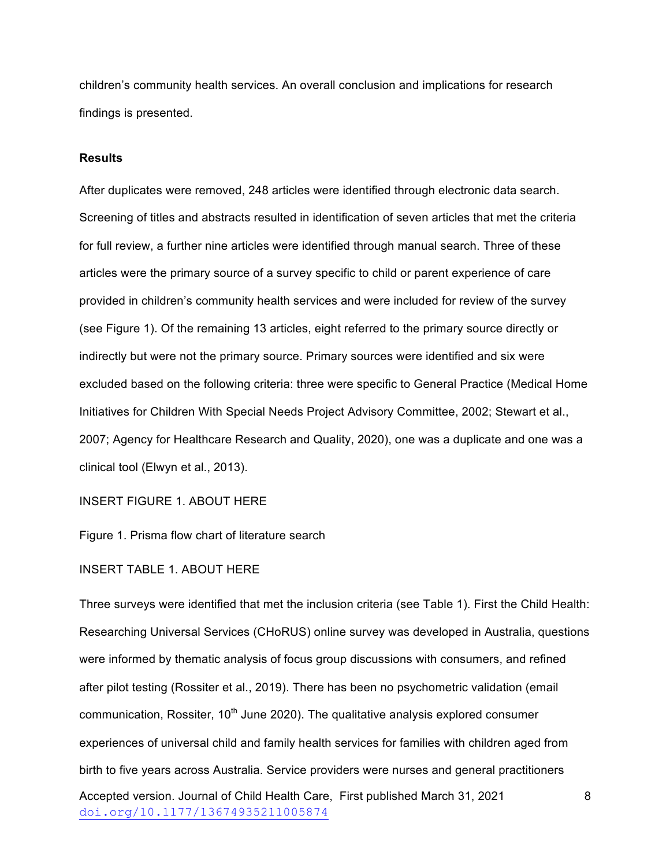children's community health services. An overall conclusion and implications for research findings is presented.

### **Results**

After duplicates were removed, 248 articles were identified through electronic data search. Screening of titles and abstracts resulted in identification of seven articles that met the criteria for full review, a further nine articles were identified through manual search. Three of these articles were the primary source of a survey specific to child or parent experience of care provided in children's community health services and were included for review of the survey (see Figure 1). Of the remaining 13 articles, eight referred to the primary source directly or indirectly but were not the primary source. Primary sources were identified and six were excluded based on the following criteria: three were specific to General Practice (Medical Home Initiatives for Children With Special Needs Project Advisory Committee, 2002; Stewart et al., 2007; Agency for Healthcare Research and Quality, 2020), one was a duplicate and one was a clinical tool (Elwyn et al., 2013).

INSERT FIGURE 1. ABOUT HERE

Figure 1. Prisma flow chart of literature search

INSERT TABLE 1. ABOUT HERE

Accepted version. Journal of Child Health Care, First published March 31, 2021 doi.org/10.1177/13674935211005874 8 Three surveys were identified that met the inclusion criteria (see Table 1). First the Child Health: Researching Universal Services (CHoRUS) online survey was developed in Australia, questions were informed by thematic analysis of focus group discussions with consumers, and refined after pilot testing (Rossiter et al., 2019). There has been no psychometric validation (email communication, Rossiter,  $10<sup>th</sup>$  June 2020). The qualitative analysis explored consumer experiences of universal child and family health services for families with children aged from birth to five years across Australia. Service providers were nurses and general practitioners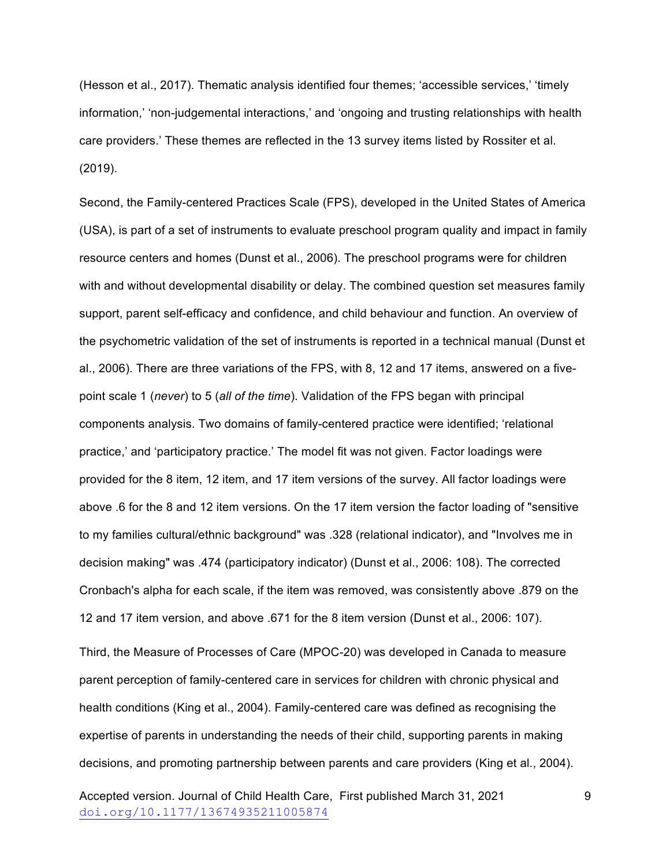(Hesson et al., 2017). Thematic analysis identified four themes; 'accessible services,' 'timely information,' 'non-judgemental interactions,' and 'ongoing and trusting relationships with health care providers.' These themes are reflected in the 13 survey items listed by Rossiter et al. (2019).

Second, the Family-centered Practices Scale (FPS), developed in the United States of America (USA), is part of a set of instruments to evaluate preschool program quality and impact in family resource centers and homes (Dunst et al., 2006). The preschool programs were for children with and without developmental disability or delay. The combined question set measures family support, parent self-efficacy and confidence, and child behaviour and function. An overview of the psychometric validation of the set of instruments is reported in a technical manual (Dunst et al., 2006). There are three variations of the FPS, with 8, 12 and 17 items, answered on a fivepoint scale 1 (*never*) to 5 (*all of the time*). Validation of the FPS began with principal components analysis. Two domains of family-centered practice were identified; 'relational practice,' and 'participatory practice.' The model fit was not given. Factor loadings were provided for the 8 item, 12 item, and 17 item versions of the survey. All factor loadings were above .6 for the 8 and 12 item versions. On the 17 item version the factor loading of "sensitive to my families cultural/ethnic background" was .328 (relational indicator), and "Involves me in decision making" was .474 (participatory indicator) (Dunst et al., 2006: 108). The corrected Cronbach's alpha for each scale, if the item was removed, was consistently above .879 on the 12 and 17 item version, and above .671 for the 8 item version (Dunst et al., 2006: 107).

Third, the Measure of Processes of Care (MPOC-20) was developed in Canada to measure parent perception of family-centered care in services for children with chronic physical and health conditions (King et al., 2004). Family-centered care was defined as recognising the expertise of parents in understanding the needs of their child, supporting parents in making decisions, and promoting partnership between parents and care providers (King et al., 2004).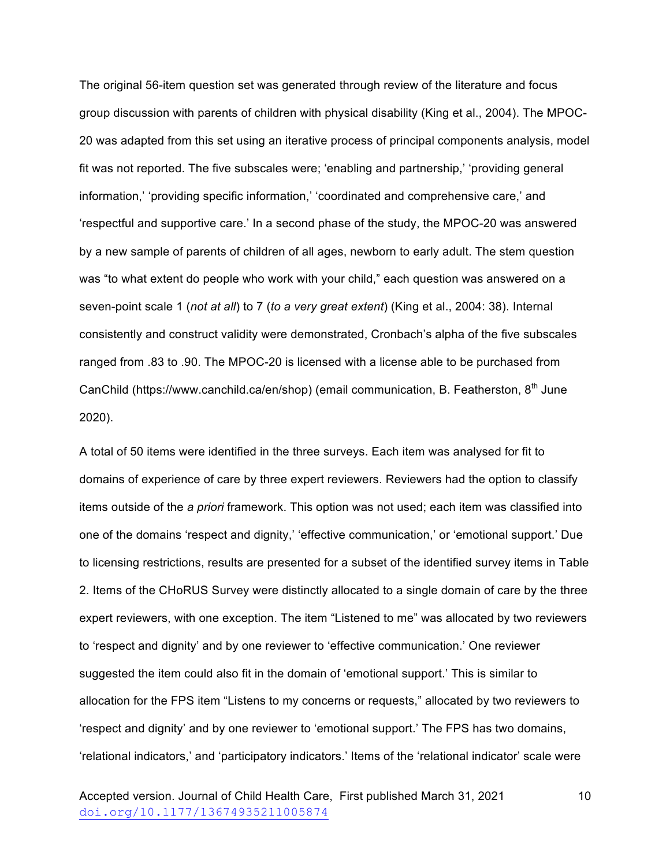The original 56-item question set was generated through review of the literature and focus group discussion with parents of children with physical disability (King et al., 2004). The MPOC-20 was adapted from this set using an iterative process of principal components analysis, model fit was not reported. The five subscales were; 'enabling and partnership,' 'providing general information,' 'providing specific information,' 'coordinated and comprehensive care,' and 'respectful and supportive care.' In a second phase of the study, the MPOC-20 was answered by a new sample of parents of children of all ages, newborn to early adult. The stem question was "to what extent do people who work with your child," each question was answered on a seven-point scale 1 (*not at all*) to 7 (*to a very great extent*) (King et al., 2004: 38). Internal consistently and construct validity were demonstrated, Cronbach's alpha of the five subscales ranged from .83 to .90. The MPOC-20 is licensed with a license able to be purchased from CanChild (https://www.canchild.ca/en/shop) (email communication, B. Featherston,  $8<sup>th</sup>$  June 2020).

A total of 50 items were identified in the three surveys. Each item was analysed for fit to domains of experience of care by three expert reviewers. Reviewers had the option to classify items outside of the *a priori* framework. This option was not used; each item was classified into one of the domains 'respect and dignity,' 'effective communication,' or 'emotional support.' Due to licensing restrictions, results are presented for a subset of the identified survey items in Table 2. Items of the CHoRUS Survey were distinctly allocated to a single domain of care by the three expert reviewers, with one exception. The item "Listened to me" was allocated by two reviewers to 'respect and dignity' and by one reviewer to 'effective communication.' One reviewer suggested the item could also fit in the domain of 'emotional support.' This is similar to allocation for the FPS item "Listens to my concerns or requests," allocated by two reviewers to 'respect and dignity' and by one reviewer to 'emotional support.' The FPS has two domains, 'relational indicators,' and 'participatory indicators.' Items of the 'relational indicator' scale were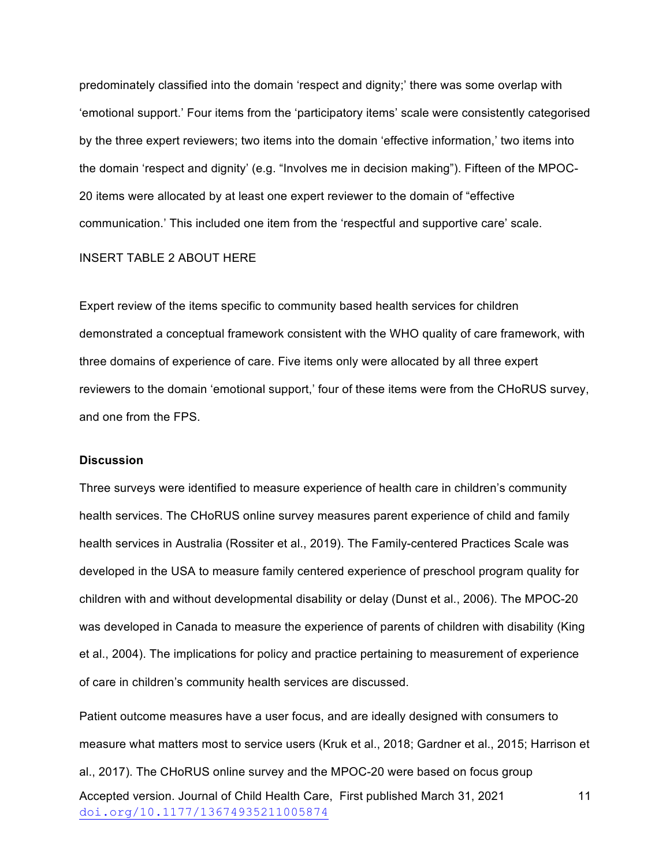predominately classified into the domain 'respect and dignity;' there was some overlap with 'emotional support.' Four items from the 'participatory items' scale were consistently categorised by the three expert reviewers; two items into the domain 'effective information,' two items into the domain 'respect and dignity' (e.g. "Involves me in decision making"). Fifteen of the MPOC-20 items were allocated by at least one expert reviewer to the domain of "effective communication.' This included one item from the 'respectful and supportive care' scale.

#### INSERT TABLE 2 ABOUT HERE

Expert review of the items specific to community based health services for children demonstrated a conceptual framework consistent with the WHO quality of care framework, with three domains of experience of care. Five items only were allocated by all three expert reviewers to the domain 'emotional support,' four of these items were from the CHoRUS survey, and one from the FPS.

#### **Discussion**

Three surveys were identified to measure experience of health care in children's community health services. The CHoRUS online survey measures parent experience of child and family health services in Australia (Rossiter et al., 2019). The Family-centered Practices Scale was developed in the USA to measure family centered experience of preschool program quality for children with and without developmental disability or delay (Dunst et al., 2006). The MPOC-20 was developed in Canada to measure the experience of parents of children with disability (King et al., 2004). The implications for policy and practice pertaining to measurement of experience of care in children's community health services are discussed.

Accepted version. Journal of Child Health Care, First published March 31, 2021 doi.org/10.1177/13674935211005874 11 Patient outcome measures have a user focus, and are ideally designed with consumers to measure what matters most to service users (Kruk et al., 2018; Gardner et al., 2015; Harrison et al., 2017). The CHoRUS online survey and the MPOC-20 were based on focus group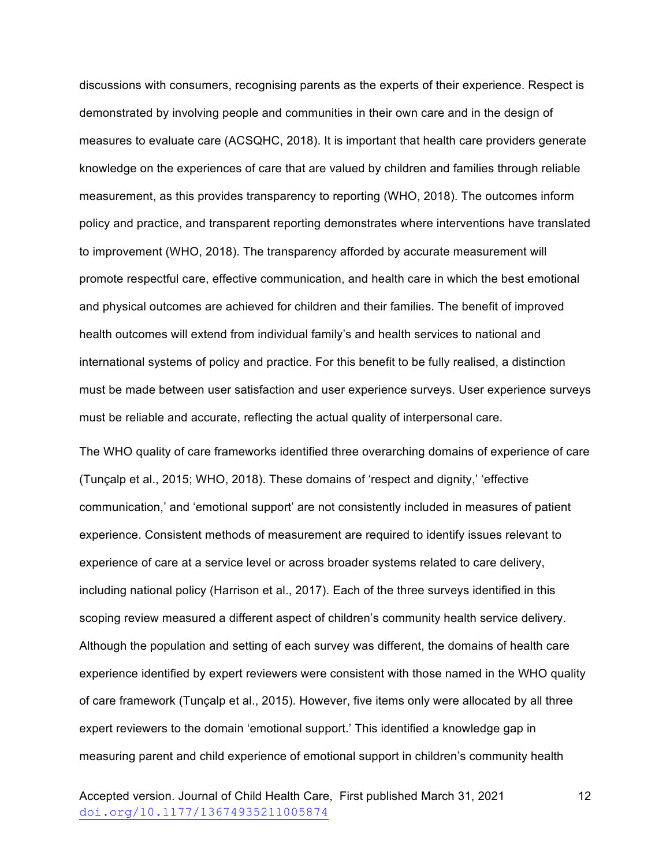discussions with consumers, recognising parents as the experts of their experience. Respect is demonstrated by involving people and communities in their own care and in the design of measures to evaluate care (ACSQHC, 2018). It is important that health care providers generate knowledge on the experiences of care that are valued by children and families through reliable measurement, as this provides transparency to reporting (WHO, 2018). The outcomes inform policy and practice, and transparent reporting demonstrates where interventions have translated to improvement (WHO, 2018). The transparency afforded by accurate measurement will promote respectful care, effective communication, and health care in which the best emotional and physical outcomes are achieved for children and their families. The benefit of improved health outcomes will extend from individual family's and health services to national and international systems of policy and practice. For this benefit to be fully realised, a distinction must be made between user satisfaction and user experience surveys. User experience surveys must be reliable and accurate, reflecting the actual quality of interpersonal care.

The WHO quality of care frameworks identified three overarching domains of experience of care (Tunçalp et al., 2015; WHO, 2018). These domains of 'respect and dignity,' 'effective communication,' and 'emotional support' are not consistently included in measures of patient experience. Consistent methods of measurement are required to identify issues relevant to experience of care at a service level or across broader systems related to care delivery, including national policy (Harrison et al., 2017). Each of the three surveys identified in this scoping review measured a different aspect of children's community health service delivery. Although the population and setting of each survey was different, the domains of health care experience identified by expert reviewers were consistent with those named in the WHO quality of care framework (Tunçalp et al., 2015). However, five items only were allocated by all three expert reviewers to the domain 'emotional support.' This identified a knowledge gap in measuring parent and child experience of emotional support in children's community health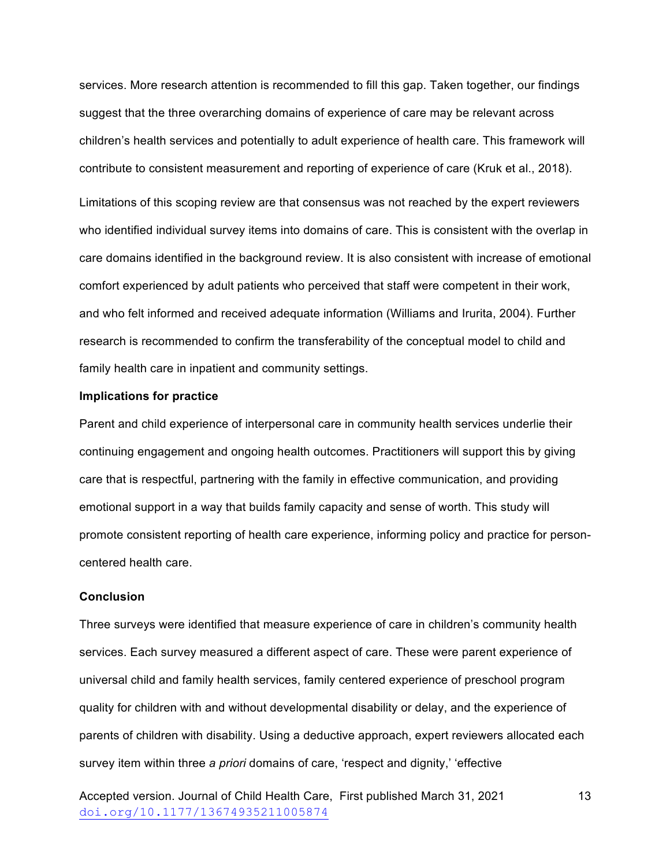services. More research attention is recommended to fill this gap. Taken together, our findings suggest that the three overarching domains of experience of care may be relevant across children's health services and potentially to adult experience of health care. This framework will contribute to consistent measurement and reporting of experience of care (Kruk et al., 2018).

Limitations of this scoping review are that consensus was not reached by the expert reviewers who identified individual survey items into domains of care. This is consistent with the overlap in care domains identified in the background review. It is also consistent with increase of emotional comfort experienced by adult patients who perceived that staff were competent in their work, and who felt informed and received adequate information (Williams and Irurita, 2004). Further research is recommended to confirm the transferability of the conceptual model to child and family health care in inpatient and community settings.

# **Implications for practice**

Parent and child experience of interpersonal care in community health services underlie their continuing engagement and ongoing health outcomes. Practitioners will support this by giving care that is respectful, partnering with the family in effective communication, and providing emotional support in a way that builds family capacity and sense of worth. This study will promote consistent reporting of health care experience, informing policy and practice for personcentered health care.

# **Conclusion**

Three surveys were identified that measure experience of care in children's community health services. Each survey measured a different aspect of care. These were parent experience of universal child and family health services, family centered experience of preschool program quality for children with and without developmental disability or delay, and the experience of parents of children with disability. Using a deductive approach, expert reviewers allocated each survey item within three *a priori* domains of care, 'respect and dignity,' 'effective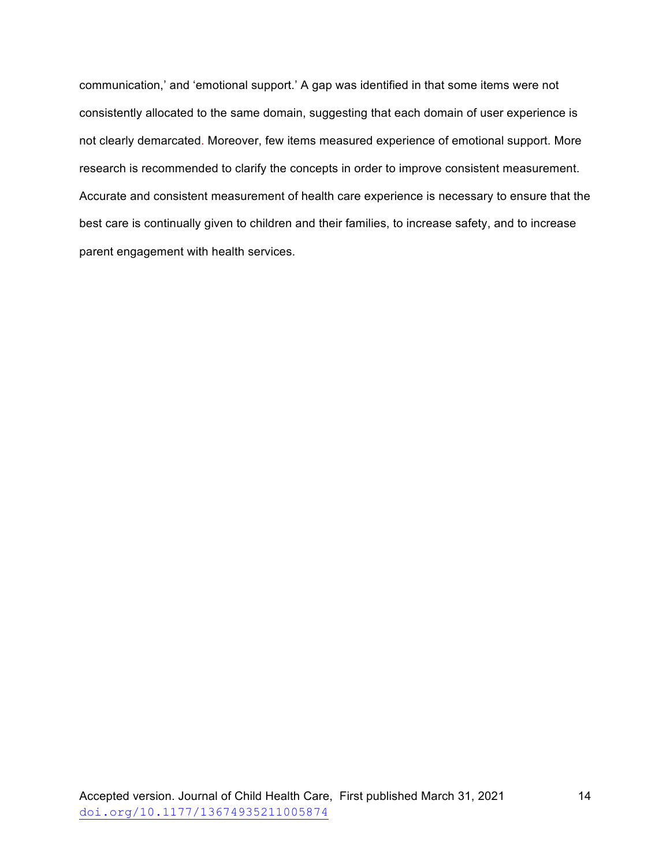communication,' and 'emotional support.' A gap was identified in that some items were not consistently allocated to the same domain, suggesting that each domain of user experience is not clearly demarcated. Moreover, few items measured experience of emotional support. More research is recommended to clarify the concepts in order to improve consistent measurement. Accurate and consistent measurement of health care experience is necessary to ensure that the best care is continually given to children and their families, to increase safety, and to increase parent engagement with health services.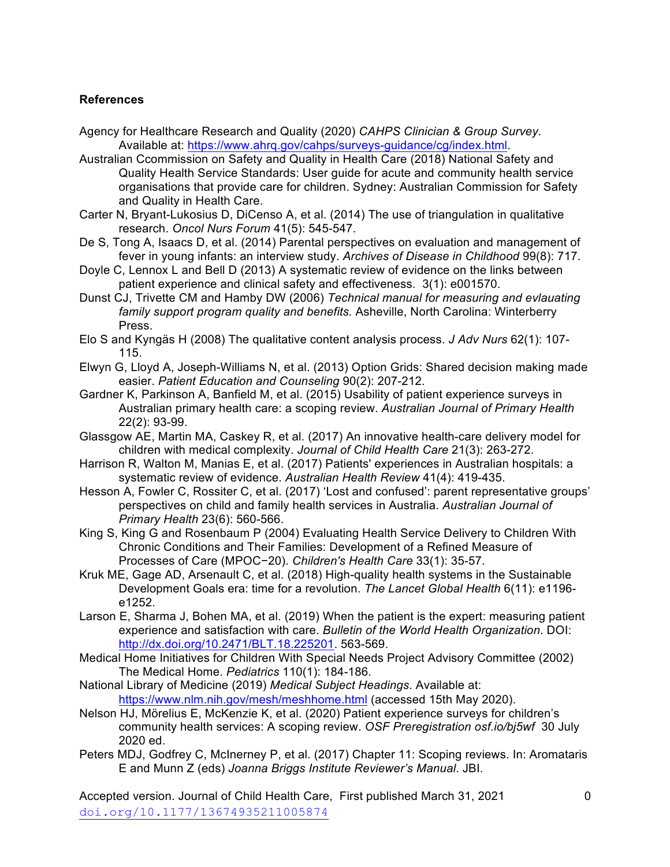# **References**

- Agency for Healthcare Research and Quality (2020) *CAHPS Clinician & Group Survey*. Available at: https://www.ahrq.gov/cahps/surveys-guidance/cg/index.html.
- Australian Ccommission on Safety and Quality in Health Care (2018) National Safety and Quality Health Service Standards: User guide for acute and community health service organisations that provide care for children. Sydney: Australian Commission for Safety and Quality in Health Care.
- Carter N, Bryant-Lukosius D, DiCenso A, et al. (2014) The use of triangulation in qualitative research. *Oncol Nurs Forum* 41(5): 545-547.
- De S, Tong A, Isaacs D, et al. (2014) Parental perspectives on evaluation and management of fever in young infants: an interview study. *Archives of Disease in Childhood* 99(8): 717.
- Doyle C, Lennox L and Bell D (2013) A systematic review of evidence on the links between patient experience and clinical safety and effectiveness. 3(1): e001570.
- Dunst CJ, Trivette CM and Hamby DW (2006) *Technical manual for measuring and evlauating family support program quality and benefits.* Asheville, North Carolina: Winterberry Press.
- Elo S and Kyngäs H (2008) The qualitative content analysis process. *J Adv Nurs* 62(1): 107- 115.
- Elwyn G, Lloyd A, Joseph-Williams N, et al. (2013) Option Grids: Shared decision making made easier. *Patient Education and Counseling* 90(2): 207-212.
- Gardner K, Parkinson A, Banfield M, et al. (2015) Usability of patient experience surveys in Australian primary health care: a scoping review. *Australian Journal of Primary Health* 22(2): 93-99.
- Glassgow AE, Martin MA, Caskey R, et al. (2017) An innovative health-care delivery model for children with medical complexity. *Journal of Child Health Care* 21(3): 263-272.
- Harrison R, Walton M, Manias E, et al. (2017) Patients' experiences in Australian hospitals: a systematic review of evidence. *Australian Health Review* 41(4): 419-435.
- Hesson A, Fowler C, Rossiter C, et al. (2017) 'Lost and confused': parent representative groups' perspectives on child and family health services in Australia. *Australian Journal of Primary Health* 23(6): 560-566.
- King S, King G and Rosenbaum P (2004) Evaluating Health Service Delivery to Children With Chronic Conditions and Their Families: Development of a Refined Measure of Processes of Care (MPOC−20). *Children's Health Care* 33(1): 35-57.
- Kruk ME, Gage AD, Arsenault C, et al. (2018) High-quality health systems in the Sustainable Development Goals era: time for a revolution. *The Lancet Global Health* 6(11): e1196 e1252.
- Larson E, Sharma J, Bohen MA, et al. (2019) When the patient is the expert: measuring patient experience and satisfaction with care. *Bulletin of the World Health Organization*. DOI: http://dx.doi.org/10.2471/BLT.18.225201. 563-569.
- Medical Home Initiatives for Children With Special Needs Project Advisory Committee (2002) The Medical Home. *Pediatrics* 110(1): 184-186.
- National Library of Medicine (2019) *Medical Subject Headings*. Available at: https://www.nlm.nih.gov/mesh/meshhome.html (accessed 15th May 2020).
- Nelson HJ, Mӧrelius E, McKenzie K, et al. (2020) Patient experience surveys for children's community health services: A scoping review. *OSF Preregistration osf.io/bj5wf* 30 July 2020 ed.
- Peters MDJ, Godfrey C, McInerney P, et al. (2017) Chapter 11: Scoping reviews. In: Aromataris E and Munn Z (eds) *Joanna Briggs Institute Reviewer's Manual*. JBI.

Accepted version. Journal of Child Health Care, First published March 31, 2021 doi.org/10.1177/13674935211005874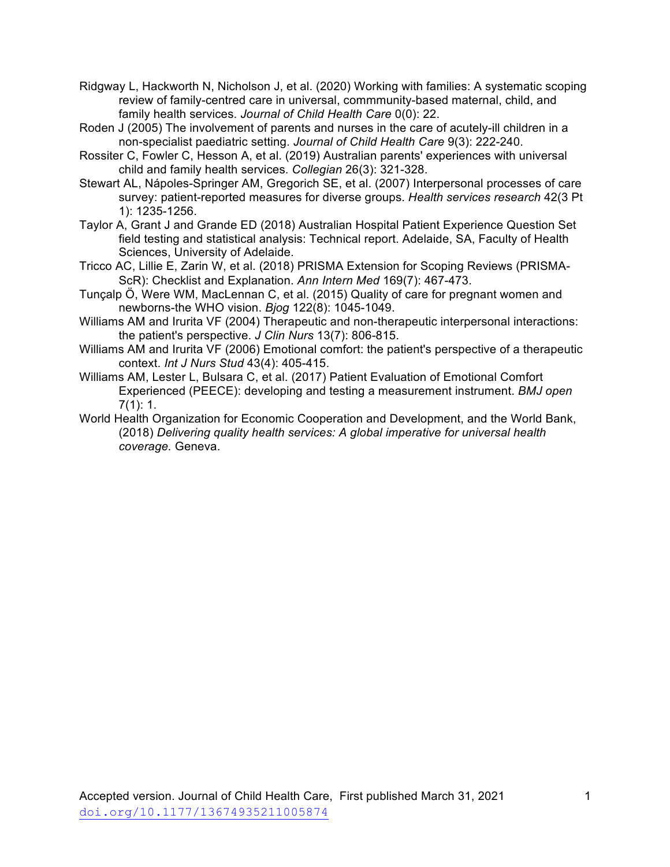- Ridgway L, Hackworth N, Nicholson J, et al. (2020) Working with families: A systematic scoping review of family-centred care in universal, commmunity-based maternal, child, and family health services. *Journal of Child Health Care* 0(0): 22.
- Roden J (2005) The involvement of parents and nurses in the care of acutely-ill children in a non-specialist paediatric setting. *Journal of Child Health Care* 9(3): 222-240.
- Rossiter C, Fowler C, Hesson A, et al. (2019) Australian parents' experiences with universal child and family health services. *Collegian* 26(3): 321-328.
- Stewart AL, Nápoles-Springer AM, Gregorich SE, et al. (2007) Interpersonal processes of care survey: patient-reported measures for diverse groups. *Health services research* 42(3 Pt 1): 1235-1256.
- Taylor A, Grant J and Grande ED (2018) Australian Hospital Patient Experience Question Set field testing and statistical analysis: Technical report. Adelaide, SA, Faculty of Health Sciences, University of Adelaide.
- Tricco AC, Lillie E, Zarin W, et al. (2018) PRISMA Extension for Scoping Reviews (PRISMA-ScR): Checklist and Explanation. *Ann Intern Med* 169(7): 467-473.
- Tunçalp Ӧ, Were WM, MacLennan C, et al. (2015) Quality of care for pregnant women and newborns-the WHO vision. *Bjog* 122(8): 1045-1049.
- Williams AM and Irurita VF (2004) Therapeutic and non-therapeutic interpersonal interactions: the patient's perspective. *J Clin Nurs* 13(7): 806-815.
- Williams AM and Irurita VF (2006) Emotional comfort: the patient's perspective of a therapeutic context. *Int J Nurs Stud* 43(4): 405-415.
- Williams AM, Lester L, Bulsara C, et al. (2017) Patient Evaluation of Emotional Comfort Experienced (PEECE): developing and testing a measurement instrument. *BMJ open* 7(1): 1.
- World Health Organization for Economic Cooperation and Development, and the World Bank, (2018) *Delivering quality health services: A global imperative for universal health coverage.* Geneva.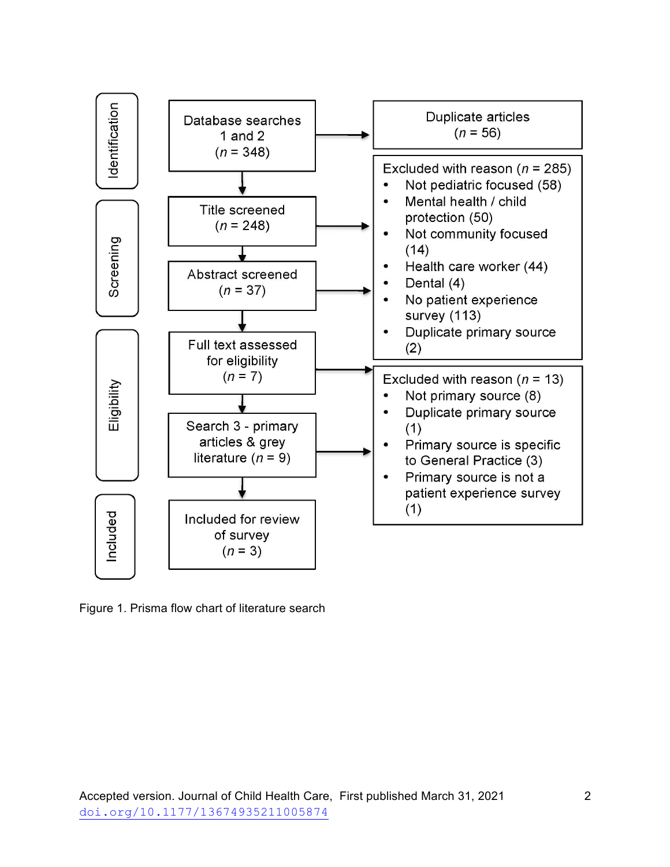

Figure 1. Prisma flow chart of literature search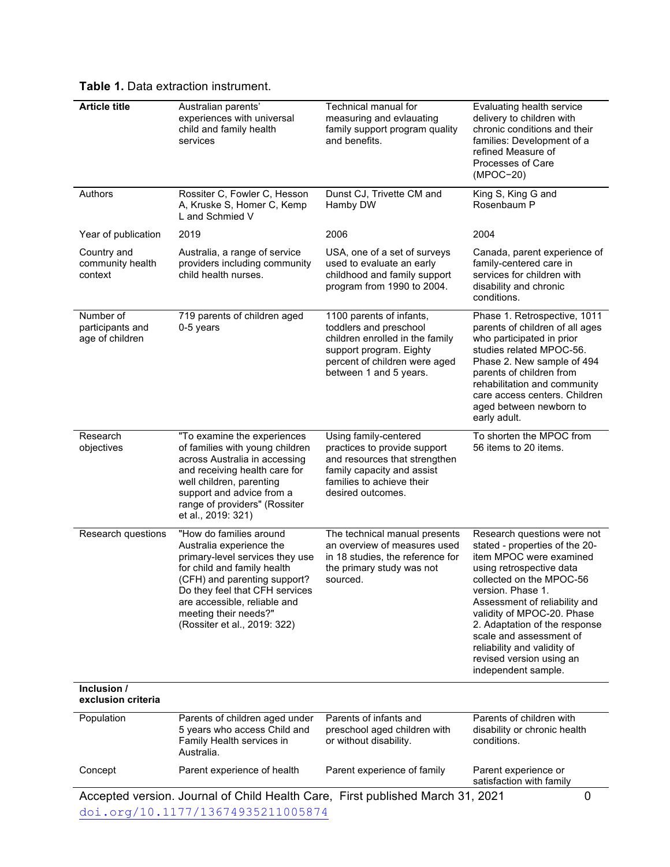| <b>Article title</b>                             | Australian parents'<br>experiences with universal<br>child and family health<br>services                                                                                                                                                                                         | Technical manual for<br>measuring and evlauating<br>family support program quality<br>and benefits.                                                                         | Evaluating health service<br>delivery to children with<br>chronic conditions and their<br>families: Development of a<br>refined Measure of<br>Processes of Care<br>(MPOC-20)                                                                                                                                                                                                       |  |  |
|--------------------------------------------------|----------------------------------------------------------------------------------------------------------------------------------------------------------------------------------------------------------------------------------------------------------------------------------|-----------------------------------------------------------------------------------------------------------------------------------------------------------------------------|------------------------------------------------------------------------------------------------------------------------------------------------------------------------------------------------------------------------------------------------------------------------------------------------------------------------------------------------------------------------------------|--|--|
| Authors                                          | Rossiter C, Fowler C, Hesson<br>A, Kruske S, Homer C, Kemp<br>L and Schmied V                                                                                                                                                                                                    | Dunst CJ, Trivette CM and<br>Hamby DW                                                                                                                                       | King S, King G and<br>Rosenbaum P                                                                                                                                                                                                                                                                                                                                                  |  |  |
| Year of publication                              | 2019                                                                                                                                                                                                                                                                             | 2006                                                                                                                                                                        | 2004                                                                                                                                                                                                                                                                                                                                                                               |  |  |
| Country and<br>community health<br>context       | Australia, a range of service<br>providers including community<br>child health nurses.                                                                                                                                                                                           | USA, one of a set of surveys<br>used to evaluate an early<br>childhood and family support<br>program from 1990 to 2004.                                                     | Canada, parent experience of<br>family-centered care in<br>services for children with<br>disability and chronic<br>conditions.                                                                                                                                                                                                                                                     |  |  |
| Number of<br>participants and<br>age of children | 719 parents of children aged<br>0-5 years                                                                                                                                                                                                                                        | 1100 parents of infants,<br>toddlers and preschool<br>children enrolled in the family<br>support program. Eighty<br>percent of children were aged<br>between 1 and 5 years. | Phase 1. Retrospective, 1011<br>parents of children of all ages<br>who participated in prior<br>studies related MPOC-56.<br>Phase 2. New sample of 494<br>parents of children from<br>rehabilitation and community<br>care access centers. Children<br>aged between newborn to<br>early adult.                                                                                     |  |  |
| Research<br>objectives                           | "To examine the experiences<br>of families with young children<br>across Australia in accessing<br>and receiving health care for<br>well children, parenting<br>support and advice from a<br>range of providers" (Rossiter<br>et al., 2019: 321)                                 | Using family-centered<br>practices to provide support<br>and resources that strengthen<br>family capacity and assist<br>families to achieve their<br>desired outcomes.      | To shorten the MPOC from<br>56 items to 20 items.                                                                                                                                                                                                                                                                                                                                  |  |  |
| Research questions                               | "How do families around<br>Australia experience the<br>primary-level services they use<br>for child and family health<br>(CFH) and parenting support?<br>Do they feel that CFH services<br>are accessible, reliable and<br>meeting their needs?"<br>(Rossiter et al., 2019: 322) | The technical manual presents<br>an overview of measures used<br>in 18 studies, the reference for<br>the primary study was not<br>sourced.                                  | Research questions were not<br>stated - properties of the 20-<br>item MPOC were examined<br>using retrospective data<br>collected on the MPOC-56<br>version. Phase 1.<br>Assessment of reliability and<br>validity of MPOC-20. Phase<br>2. Adaptation of the response<br>scale and assessment of<br>reliability and validity of<br>revised version using an<br>independent sample. |  |  |
| Inclusion /<br>exclusion criteria                |                                                                                                                                                                                                                                                                                  |                                                                                                                                                                             |                                                                                                                                                                                                                                                                                                                                                                                    |  |  |
| Population                                       | Parents of children aged under<br>5 years who access Child and<br>Family Health services in<br>Australia.                                                                                                                                                                        | Parents of infants and<br>preschool aged children with<br>or without disability.                                                                                            | Parents of children with<br>disability or chronic health<br>conditions.                                                                                                                                                                                                                                                                                                            |  |  |
| Concept                                          | Parent experience of health                                                                                                                                                                                                                                                      | Parent experience of family                                                                                                                                                 | Parent experience or<br>satisfaction with family                                                                                                                                                                                                                                                                                                                                   |  |  |
|                                                  |                                                                                                                                                                                                                                                                                  | Accepted version. Journal of Child Health Care, First published March 31, 2021                                                                                              | $\mathbf 0$                                                                                                                                                                                                                                                                                                                                                                        |  |  |

**Table 1.** Data extraction instrument.

doi.org/10.1177/13674935211005874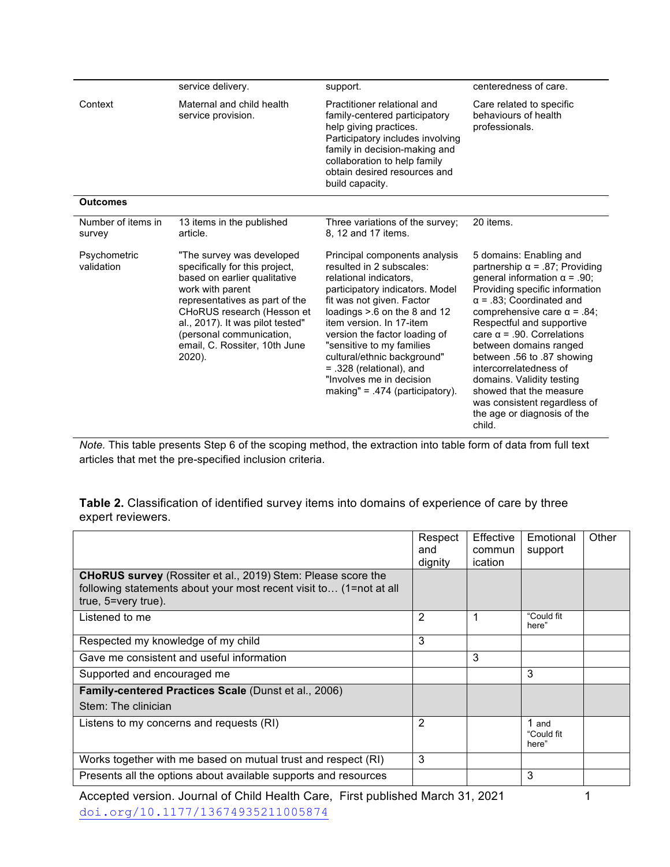|                              | service delivery.                                                                                                                                                                                                                                                                          | support.                                                                                                                                                                                                                                                                                                                                                                                                      | centeredness of care.                                                                                                                                                                                                                                                                                                                                                                                                                                                                                   |
|------------------------------|--------------------------------------------------------------------------------------------------------------------------------------------------------------------------------------------------------------------------------------------------------------------------------------------|---------------------------------------------------------------------------------------------------------------------------------------------------------------------------------------------------------------------------------------------------------------------------------------------------------------------------------------------------------------------------------------------------------------|---------------------------------------------------------------------------------------------------------------------------------------------------------------------------------------------------------------------------------------------------------------------------------------------------------------------------------------------------------------------------------------------------------------------------------------------------------------------------------------------------------|
| Context                      | Maternal and child health<br>service provision.                                                                                                                                                                                                                                            | Practitioner relational and<br>family-centered participatory<br>help giving practices.<br>Participatory includes involving<br>family in decision-making and<br>collaboration to help family<br>obtain desired resources and<br>build capacity.                                                                                                                                                                | Care related to specific<br>behaviours of health<br>professionals.                                                                                                                                                                                                                                                                                                                                                                                                                                      |
| <b>Outcomes</b>              |                                                                                                                                                                                                                                                                                            |                                                                                                                                                                                                                                                                                                                                                                                                               |                                                                                                                                                                                                                                                                                                                                                                                                                                                                                                         |
| Number of items in<br>survey | 13 items in the published<br>article.                                                                                                                                                                                                                                                      | Three variations of the survey:<br>8, 12 and 17 items.                                                                                                                                                                                                                                                                                                                                                        | 20 items.                                                                                                                                                                                                                                                                                                                                                                                                                                                                                               |
| Psychometric<br>validation   | "The survey was developed<br>specifically for this project.<br>based on earlier qualitative<br>work with parent<br>representatives as part of the<br>CHoRUS research (Hesson et<br>al., 2017). It was pilot tested"<br>(personal communication,<br>email, C. Rossiter, 10th June<br>2020). | Principal components analysis<br>resulted in 2 subscales:<br>relational indicators,<br>participatory indicators. Model<br>fit was not given. Factor<br>loadings $> 6$ on the 8 and 12<br>item version. In 17-item<br>version the factor loading of<br>"sensitive to my families<br>cultural/ethnic background"<br>$= .328$ (relational), and<br>"Involves me in decision<br>making" = $.474$ (participatory). | 5 domains: Enabling and<br>partnership $\alpha$ = .87; Providing<br>general information $\alpha$ = .90;<br>Providing specific information<br>$\alpha$ = .83; Coordinated and<br>comprehensive care $\alpha$ = .84;<br>Respectful and supportive<br>care $\alpha$ = .90. Correlations<br>between domains ranged<br>between .56 to .87 showing<br>intercorrelatedness of<br>domains. Validity testing<br>showed that the measure<br>was consistent regardless of<br>the age or diagnosis of the<br>child. |

*Note.* This table presents Step 6 of the scoping method, the extraction into table form of data from full text articles that met the pre-specified inclusion criteria.

**Table 2.** Classification of identified survey items into domains of experience of care by three expert reviewers.

|                                                                                                                                                                  | Respect<br>and<br>dignity | <b>Effective</b><br>commun<br>ication | Emotional<br>support         | Other |
|------------------------------------------------------------------------------------------------------------------------------------------------------------------|---------------------------|---------------------------------------|------------------------------|-------|
| <b>CHoRUS survey</b> (Rossiter et al., 2019) Stem: Please score the<br>following statements about your most recent visit to (1=not at all<br>true, 5=very true). |                           |                                       |                              |       |
| Listened to me                                                                                                                                                   | 2                         |                                       | "Could fit<br>here"          |       |
| Respected my knowledge of my child                                                                                                                               | 3                         |                                       |                              |       |
| Gave me consistent and useful information                                                                                                                        |                           | 3                                     |                              |       |
| Supported and encouraged me                                                                                                                                      |                           |                                       | 3                            |       |
| Family-centered Practices Scale (Dunst et al., 2006)                                                                                                             |                           |                                       |                              |       |
| Stem: The clinician                                                                                                                                              |                           |                                       |                              |       |
| Listens to my concerns and requests (RI)                                                                                                                         | 2                         |                                       | 1 and<br>"Could fit<br>here" |       |
| Works together with me based on mutual trust and respect (RI)                                                                                                    | 3                         |                                       |                              |       |
| Presents all the options about available supports and resources                                                                                                  |                           |                                       | 3                            |       |

Accepted version. Journal of Child Health Care, First published March 31, 2021 doi.org/10.1177/13674935211005874